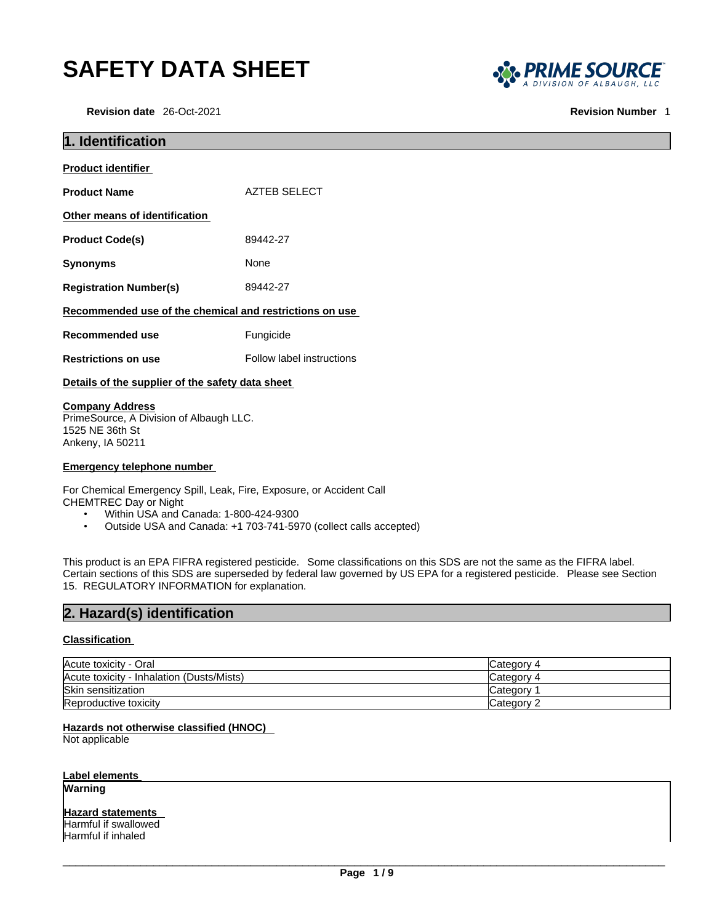# **SAFETY DATA SHEET**

**Revision date** 26-Oct-2021 **Revision Number** 1



| 1. Identification                                                 |                           |
|-------------------------------------------------------------------|---------------------------|
| <b>Product identifier</b>                                         |                           |
| <b>Product Name</b>                                               | <b>AZTEB SELECT</b>       |
| Other means of identification                                     |                           |
| <b>Product Code(s)</b>                                            | 89442-27                  |
| <b>Synonyms</b>                                                   | None                      |
| <b>Registration Number(s)</b>                                     | 89442-27                  |
| Recommended use of the chemical and restrictions on use           |                           |
| <b>Recommended use</b>                                            | Fungicide                 |
| <b>Restrictions on use</b>                                        | Follow label instructions |
| Details of the supplier of the safety data sheet                  |                           |
| <b>Company Address</b><br>PrimeSource, A Division of Albaugh LLC. |                           |

PrimeSource, A Division of Albaugh LLC. 1525 NE 36th St Ankeny, IA 50211

## **Emergency telephone number**

For Chemical Emergency Spill, Leak, Fire, Exposure, or Accident Call CHEMTREC Day or Night

- Within USA and Canada: 1-800-424-9300
- Outside USA and Canada: +1 703-741-5970 (collect calls accepted)

This product is an EPA FIFRA registered pesticide. Some classifications on this SDS are not the same as the FIFRA label. Certain sections of this SDS are superseded by federal law governed by US EPA for a registered pesticide. Please see Section 15. REGULATORY INFORMATION for explanation.

## **2. Hazard(s) identification**

## **Classification**

| Acute toxicity - Oral                     | Category 4 |
|-------------------------------------------|------------|
| Acute toxicity - Inhalation (Dusts/Mists) | Category 4 |
| <b>Skin sensitization</b>                 | Category   |
| Reproductive toxicity                     | Category ~ |

## **Hazards not otherwise classified (HNOC)**

Not applicable

## **Label elements**

**Warning** 

## **Hazard statements**

Harmful if swallowed Harmful if inhaled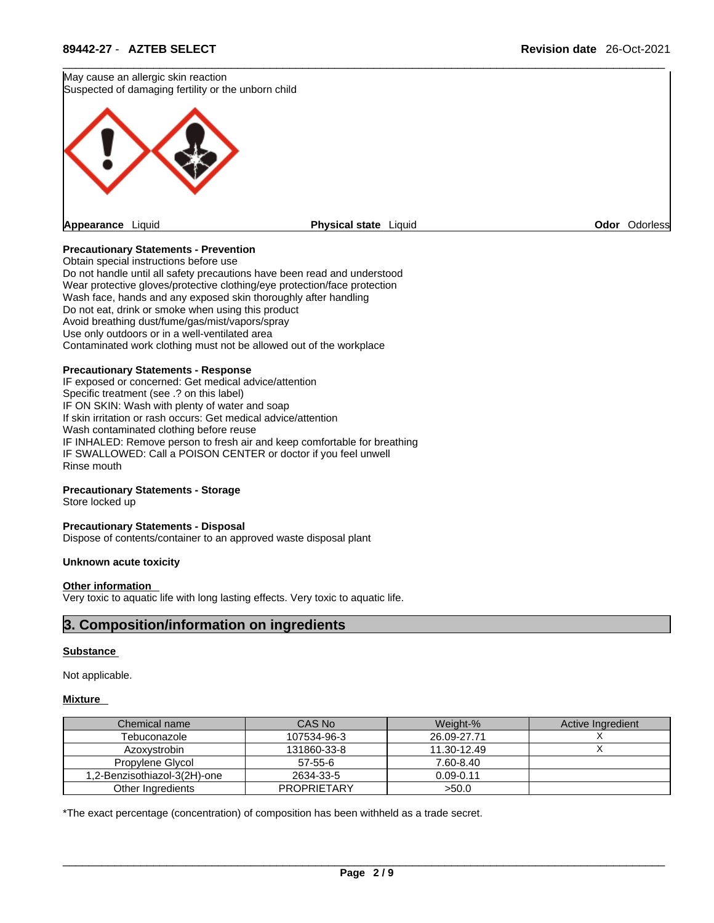May cause an allergic skin reaction Suspected of damaging fertility or the unborn child



**Odor** Odorless

## **Precautionary Statements - Prevention**

Obtain special instructions before use Do not handle until all safety precautions have been read and understood Wear protective gloves/protective clothing/eye protection/face protection Wash face, hands and any exposed skin thoroughly after handling Do not eat, drink or smoke when using this product Avoid breathing dust/fume/gas/mist/vapors/spray Use only outdoors or in a well-ventilated area Contaminated work clothing must not be allowed out of the workplace

## **Precautionary Statements - Response**

IF exposed or concerned: Get medical advice/attention Specific treatment (see .? on this label) IF ON SKIN: Wash with plenty of water and soap If skin irritation or rash occurs: Get medical advice/attention Wash contaminated clothing before reuse IF INHALED: Remove person to fresh air and keep comfortable for breathing IF SWALLOWED: Call a POISON CENTER or doctor if you feel unwell Rinse mouth

### **Precautionary Statements - Storage**

Store locked up

#### **Precautionary Statements - Disposal**

Dispose of contents/container to an approved waste disposal plant

#### **Unknown acute toxicity**

#### **Other information**

Very toxic to aquatic life with long lasting effects. Very toxic to aquatic life.

## **3. Composition/information on ingredients**

### **Substance**

Not applicable.

## **Mixture**

| Chemical name                | CAS No             | Weight-%      | Active Ingredient |
|------------------------------|--------------------|---------------|-------------------|
| Tebuconazole                 | 107534-96-3        | 26.09-27.71   |                   |
| Azoxystrobin                 | 131860-33-8        | 11.30-12.49   |                   |
| Propylene Glycol             | $57 - 55 - 6$      | 7.60-8.40     |                   |
| 1.2-Benzisothiazol-3(2H)-one | 2634-33-5          | $0.09 - 0.11$ |                   |
| Other Ingredients            | <b>PROPRIETARY</b> | >50.0         |                   |

\*The exact percentage (concentration) of composition has been withheld as a trade secret.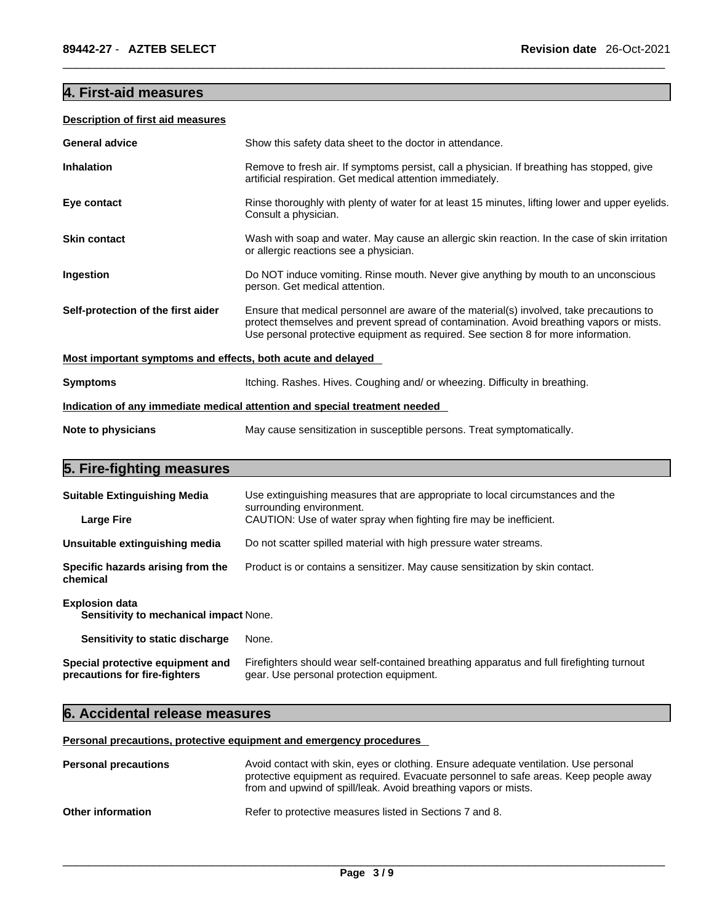## **4. First-aid measures**

## **Description of first aid measures**

| <b>General advice</b>                                                      | Show this safety data sheet to the doctor in attendance.                                                                                                                                                                                                                   |  |
|----------------------------------------------------------------------------|----------------------------------------------------------------------------------------------------------------------------------------------------------------------------------------------------------------------------------------------------------------------------|--|
| <b>Inhalation</b>                                                          | Remove to fresh air. If symptoms persist, call a physician. If breathing has stopped, give<br>artificial respiration. Get medical attention immediately.                                                                                                                   |  |
| Eye contact                                                                | Rinse thoroughly with plenty of water for at least 15 minutes, lifting lower and upper eyelids.<br>Consult a physician.                                                                                                                                                    |  |
| <b>Skin contact</b>                                                        | Wash with soap and water. May cause an allergic skin reaction. In the case of skin irritation<br>or allergic reactions see a physician.                                                                                                                                    |  |
| Ingestion                                                                  | Do NOT induce vomiting. Rinse mouth. Never give anything by mouth to an unconscious<br>person. Get medical attention.                                                                                                                                                      |  |
| Self-protection of the first aider                                         | Ensure that medical personnel are aware of the material(s) involved, take precautions to<br>protect themselves and prevent spread of contamination. Avoid breathing vapors or mists.<br>Use personal protective equipment as required. See section 8 for more information. |  |
| Most important symptoms and effects, both acute and delayed                |                                                                                                                                                                                                                                                                            |  |
| <b>Symptoms</b>                                                            | Itching. Rashes. Hives. Coughing and/ or wheezing. Difficulty in breathing.                                                                                                                                                                                                |  |
| Indication of any immediate medical attention and special treatment needed |                                                                                                                                                                                                                                                                            |  |
| Note to physicians                                                         | May cause sensitization in susceptible persons. Treat symptomatically.                                                                                                                                                                                                     |  |
|                                                                            |                                                                                                                                                                                                                                                                            |  |

## **5. Fire-fighting measures**

| <b>Suitable Extinguishing Media</b>                                    | Use extinguishing measures that are appropriate to local circumstances and the<br>surrounding environment.                            |
|------------------------------------------------------------------------|---------------------------------------------------------------------------------------------------------------------------------------|
| <b>Large Fire</b>                                                      | CAUTION: Use of water spray when fighting fire may be inefficient.                                                                    |
| Unsuitable extinguishing media                                         | Do not scatter spilled material with high pressure water streams.                                                                     |
| Specific hazards arising from the<br>chemical                          | Product is or contains a sensitizer. May cause sensitization by skin contact.                                                         |
| <b>Explosion data</b><br><b>Sensitivity to mechanical impact None.</b> |                                                                                                                                       |
| Sensitivity to static discharge                                        | None.                                                                                                                                 |
| Special protective equipment and<br>precautions for fire-fighters      | Firefighters should wear self-contained breathing apparatus and full firefighting turnout<br>gear. Use personal protection equipment. |

## **6. Accidental release measures**

**Personal precautions, protective equipment and emergency procedures**

| <b>Personal precautions</b> | Avoid contact with skin, eyes or clothing. Ensure adequate ventilation. Use personal<br>protective equipment as required. Evacuate personnel to safe areas. Keep people away<br>from and upwind of spill/leak. Avoid breathing vapors or mists. |
|-----------------------------|-------------------------------------------------------------------------------------------------------------------------------------------------------------------------------------------------------------------------------------------------|
| <b>Other information</b>    | Refer to protective measures listed in Sections 7 and 8.                                                                                                                                                                                        |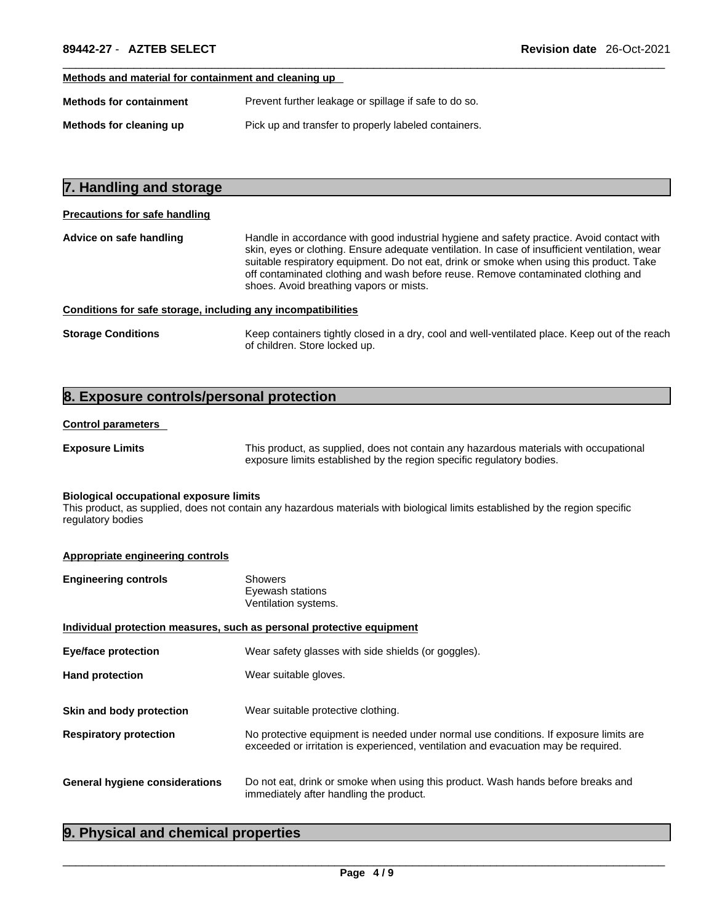## **Methods and material for containment and cleaning up**

| <b>Methods for containment</b> | Prevent further leakage or spillage if safe to do so. |
|--------------------------------|-------------------------------------------------------|
| Methods for cleaning up        | Pick up and transfer to properly labeled containers.  |

## **7. Handling and storage Precautions for safe handling Advice on safe handling** Handle in accordance with good industrial hygiene and safety practice. Avoid contact with skin, eyes or clothing. Ensure adequate ventilation. In case of insufficient ventilation, wear suitable respiratory equipment. Do not eat, drink or smoke when using this product. Take off contaminated clothing and wash before reuse. Remove contaminated clothing and shoes. Avoid breathing vapors or mists. **Conditions for safe storage, including any incompatibilities**

**Storage Conditions** Keep containers tightly closed in a dry, cool and well-ventilated place. Keep out of the reach of children. Store locked up.

## **8. Exposure controls/personal protection**

### **Control parameters**

**Exposure Limits** This product, as supplied, does not contain any hazardous materials with occupational exposure limits established by the region specific regulatory bodies.

#### **Biological occupational exposure limits**

This product, as supplied, does not contain any hazardous materials with biological limits established by the region specific regulatory bodies

#### **Appropriate engineering controls**

| <b>Engineering controls</b> | Showers              |
|-----------------------------|----------------------|
|                             | Eyewash stations     |
|                             | Ventilation systems. |

| Individual protection measures, such as personal protective equipment |                                                                                                                                                                             |  |
|-----------------------------------------------------------------------|-----------------------------------------------------------------------------------------------------------------------------------------------------------------------------|--|
| <b>Eye/face protection</b>                                            | Wear safety glasses with side shields (or goggles).                                                                                                                         |  |
| <b>Hand protection</b>                                                | Wear suitable gloves.                                                                                                                                                       |  |
|                                                                       |                                                                                                                                                                             |  |
| Skin and body protection                                              | Wear suitable protective clothing.                                                                                                                                          |  |
| <b>Respiratory protection</b>                                         | No protective equipment is needed under normal use conditions. If exposure limits are<br>exceeded or irritation is experienced, ventilation and evacuation may be required. |  |
| General hygiene considerations                                        | Do not eat, drink or smoke when using this product. Wash hands before breaks and<br>immediately after handling the product.                                                 |  |

## **9. Physical and chemical properties**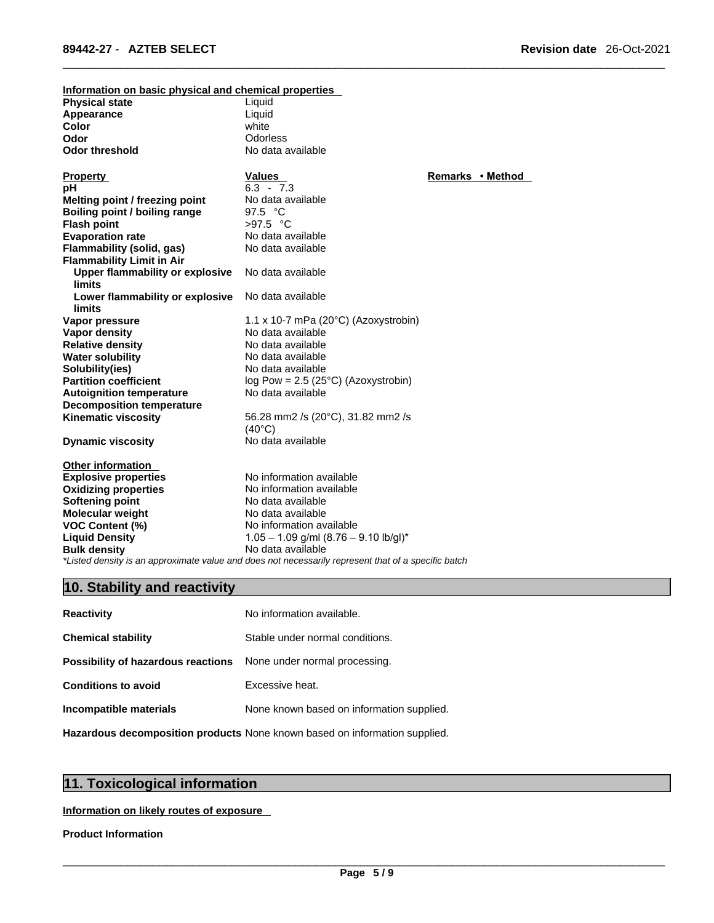| Information on basic physical and chemical properties |                                                                                                     |                  |
|-------------------------------------------------------|-----------------------------------------------------------------------------------------------------|------------------|
| <b>Physical state</b>                                 | Liquid                                                                                              |                  |
| Appearance                                            | Liquid                                                                                              |                  |
| Color                                                 | white                                                                                               |                  |
| Odor                                                  | <b>Odorless</b>                                                                                     |                  |
| <b>Odor threshold</b>                                 | No data available                                                                                   |                  |
|                                                       |                                                                                                     |                  |
| <b>Property</b>                                       | <b>Values</b>                                                                                       | Remarks • Method |
| рH                                                    | $6.3 - 7.3$                                                                                         |                  |
| Melting point / freezing point                        | No data available                                                                                   |                  |
| Boiling point / boiling range                         | 97.5 $\degree$ C                                                                                    |                  |
| <b>Flash point</b>                                    | $>97.5$ °C                                                                                          |                  |
| <b>Evaporation rate</b>                               | No data available                                                                                   |                  |
| Flammability (solid, gas)                             | No data available                                                                                   |                  |
| <b>Flammability Limit in Air</b>                      |                                                                                                     |                  |
| Upper flammability or explosive                       | No data available                                                                                   |                  |
| <b>limits</b>                                         |                                                                                                     |                  |
| Lower flammability or explosive                       | No data available                                                                                   |                  |
| <b>limits</b>                                         |                                                                                                     |                  |
| Vapor pressure                                        | 1.1 x 10-7 mPa (20°C) (Azoxystrobin)                                                                |                  |
| <b>Vapor density</b>                                  | No data available                                                                                   |                  |
| <b>Relative density</b>                               | No data available                                                                                   |                  |
| <b>Water solubility</b>                               | No data available                                                                                   |                  |
| Solubility(ies)                                       | No data available                                                                                   |                  |
| <b>Partition coefficient</b>                          | log Pow = $2.5$ ( $25^{\circ}$ C) (Azoxystrobin)                                                    |                  |
| <b>Autoignition temperature</b>                       | No data available                                                                                   |                  |
| <b>Decomposition temperature</b>                      |                                                                                                     |                  |
| <b>Kinematic viscosity</b>                            | 56.28 mm2 /s (20°C), 31.82 mm2 /s                                                                   |                  |
|                                                       | $(40^{\circ}C)$                                                                                     |                  |
| <b>Dynamic viscosity</b>                              | No data available                                                                                   |                  |
|                                                       |                                                                                                     |                  |
| <b>Other information</b>                              |                                                                                                     |                  |
| <b>Explosive properties</b>                           | No information available                                                                            |                  |
| <b>Oxidizing properties</b>                           | No information available                                                                            |                  |
| <b>Softening point</b>                                | No data available                                                                                   |                  |
| <b>Molecular weight</b>                               | No data available                                                                                   |                  |
| <b>VOC Content (%)</b>                                | No information available                                                                            |                  |
| <b>Liquid Density</b>                                 | $1.05 - 1.09$ g/ml $(8.76 - 9.10$ lb/gl)*                                                           |                  |
| <b>Bulk density</b>                                   | No data available                                                                                   |                  |
|                                                       | *Listed density is an approximate value and does not necessarily represent that of a specific batch |                  |

## **10. Stability and reactivity**

| <b>Reactivity</b>                                                       | No information available.                 |
|-------------------------------------------------------------------------|-------------------------------------------|
| <b>Chemical stability</b>                                               | Stable under normal conditions.           |
| <b>Possibility of hazardous reactions</b> None under normal processing. |                                           |
| <b>Conditions to avoid</b>                                              | Excessive heat.                           |
| Incompatible materials                                                  | None known based on information supplied. |
|                                                                         |                                           |

**Hazardous decomposition products** None known based on information supplied.

## **11. Toxicological information**

**Information on likely routes of exposure**

## **Product Information**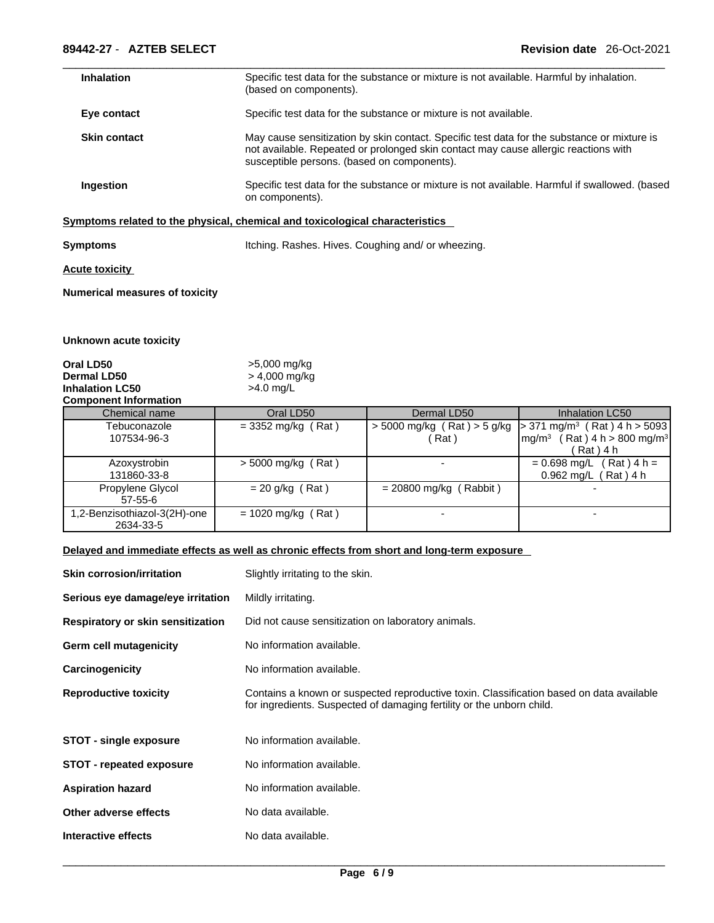| <b>Inhalation</b>   | Specific test data for the substance or mixture is not available. Harmful by inhalation.<br>(based on components).                                                                                                                |
|---------------------|-----------------------------------------------------------------------------------------------------------------------------------------------------------------------------------------------------------------------------------|
| Eye contact         | Specific test data for the substance or mixture is not available.                                                                                                                                                                 |
| <b>Skin contact</b> | May cause sensitization by skin contact. Specific test data for the substance or mixture is<br>not available. Repeated or prolonged skin contact may cause allergic reactions with<br>susceptible persons. (based on components). |
| <b>Ingestion</b>    | Specific test data for the substance or mixture is not available. Harmful if swallowed. (based<br>on components).                                                                                                                 |

## **<u>Symptoms related to the physical, chemical and toxicological characteristics</u>**

**Symptoms Itching. Rashes. Hives. Coughing and/ or wheezing.** 

## **Acute toxicity**

**Numerical measures of toxicity**

## **Unknown acute toxicity**

| Oral LD50                    | >5,000 mg/kg    |  |
|------------------------------|-----------------|--|
| Dermal LD50                  | $> 4,000$ mg/kg |  |
| <b>Inhalation LC50</b>       | $>4.0$ mg/L     |  |
| <b>Component Information</b> |                 |  |

| <b>UUIIIDUIIGIIL IIIIUIIIIAUUII</b>       |                      |                          |                                                                                                                                                          |
|-------------------------------------------|----------------------|--------------------------|----------------------------------------------------------------------------------------------------------------------------------------------------------|
| Chemical name                             | Oral LD50            | Dermal LD50              | Inhalation LC50                                                                                                                                          |
| Tebuconazole<br>107534-96-3               | $=$ 3352 mg/kg (Rat) | (Rat)                    | $>$ 5000 mg/kg (Rat) $>$ 5 g/kg   $>$ 371 mg/m <sup>3</sup> (Rat) 4 h $>$ 5093<br>(Rat) $4 h > 800 mg/m3$<br>$\mathsf{Im}$ g/m <sup>3</sup><br>Rat ) 4 h |
| Azoxystrobin<br>131860-33-8               | $>$ 5000 mg/kg (Rat) |                          | $(Rat)$ 4 h =<br>$= 0.698$ mg/L<br>$0.962$ mg/L<br>$(Rat)$ 4 h                                                                                           |
| Propylene Glycol<br>57-55-6               | $= 20$ g/kg (Rat)    | $= 20800$ mg/kg (Rabbit) |                                                                                                                                                          |
| 1,2-Benzisothiazol-3(2H)-one<br>2634-33-5 | $= 1020$ mg/kg (Rat) |                          |                                                                                                                                                          |

## **Delayed and immediate effects as well as chronic effects from short and long-term exposure**

| <b>Skin corrosion/irritation</b>  | Slightly irritating to the skin.                                                                                                                                  |
|-----------------------------------|-------------------------------------------------------------------------------------------------------------------------------------------------------------------|
| Serious eye damage/eye irritation | Mildly irritating.                                                                                                                                                |
| Respiratory or skin sensitization | Did not cause sensitization on laboratory animals.                                                                                                                |
| Germ cell mutagenicity            | No information available.                                                                                                                                         |
| Carcinogenicity                   | No information available.                                                                                                                                         |
| <b>Reproductive toxicity</b>      | Contains a known or suspected reproductive toxin. Classification based on data available<br>for ingredients. Suspected of damaging fertility or the unborn child. |
| <b>STOT - single exposure</b>     | No information available.                                                                                                                                         |
| <b>STOT - repeated exposure</b>   | No information available.                                                                                                                                         |
| <b>Aspiration hazard</b>          | No information available.                                                                                                                                         |
| Other adverse effects             | No data available.                                                                                                                                                |
| Interactive effects               | No data available.                                                                                                                                                |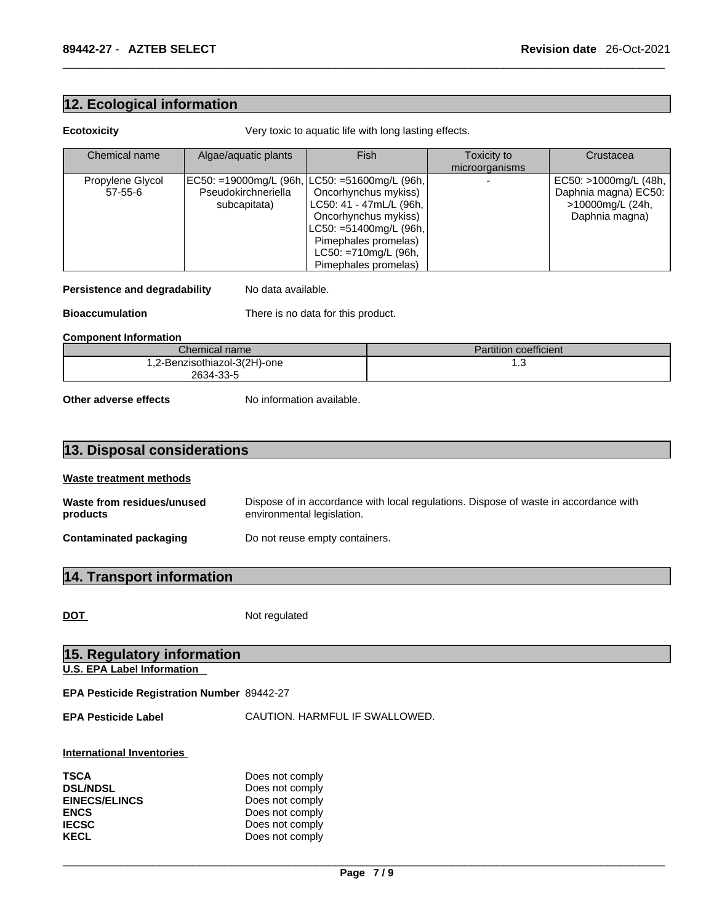## **12. Ecological information**

**Ecotoxicity Very toxic to aquatic life with long lasting effects.** 

| Chemical name    | Algae/aquatic plants | Fish                                          | Toxicity to    | Crustacea             |
|------------------|----------------------|-----------------------------------------------|----------------|-----------------------|
|                  |                      |                                               | microorganisms |                       |
| Propylene Glycol |                      | EC50: =19000mg/L (96h, LC50: =51600mg/L (96h, |                | EC50: >1000mg/L (48h, |
| 57-55-6          | Pseudokirchneriella  | Oncorhynchus mykiss)                          |                | Daphnia magna) EC50:  |
|                  | subcapitata)         | LC50: 41 - 47mL/L (96h,                       |                | >10000mg/L (24h,      |
|                  |                      | Oncorhynchus mykiss)                          |                | Daphnia magna)        |
|                  |                      | LC50: =51400mg/L (96h,                        |                |                       |
|                  |                      | Pimephales promelas)                          |                |                       |
|                  |                      | LC50: =710mg/L (96h,                          |                |                       |
|                  |                      | Pimephales promelas)                          |                |                       |

## **Persistence and degradability** No data available.

**Bioaccumulation** There is no data for this product.

### **Component Information**

| Chemical name                | Partition coefficient |
|------------------------------|-----------------------|
| 1,2-Benzisothiazol-3(2H)-one | ں. ا                  |
| 2634-33-5                    |                       |

**Other adverse effects** No information available.

## **13. Disposal considerations**

## **Waste treatment methods**

| Waste from residues/unused    | Dispose of in accordance with local regulations. Dispose of waste in accordance with |
|-------------------------------|--------------------------------------------------------------------------------------|
| products                      | environmental legislation.                                                           |
| <b>Contaminated packaging</b> | Do not reuse empty containers.                                                       |

## **14. Transport information**

DOT Not regulated

| 15. Regulatory information                        |                                |  |  |  |  |
|---------------------------------------------------|--------------------------------|--|--|--|--|
| <b>U.S. EPA Label Information</b>                 |                                |  |  |  |  |
| <b>EPA Pesticide Registration Number 89442-27</b> |                                |  |  |  |  |
| <b>EPA Pesticide Label</b>                        | CAUTION. HARMFUL IF SWALLOWED. |  |  |  |  |
| International Inventories                         |                                |  |  |  |  |
| <b>TSCA</b>                                       | Does not comply                |  |  |  |  |
| <b>DSL/NDSL</b>                                   | Does not comply                |  |  |  |  |
| <b>EINECS/ELINCS</b>                              | Does not comply                |  |  |  |  |
| <b>ENCS</b>                                       | Does not comply                |  |  |  |  |
| <b>IECSC</b>                                      | Does not comply                |  |  |  |  |
| <b>KECL</b>                                       | Does not comply                |  |  |  |  |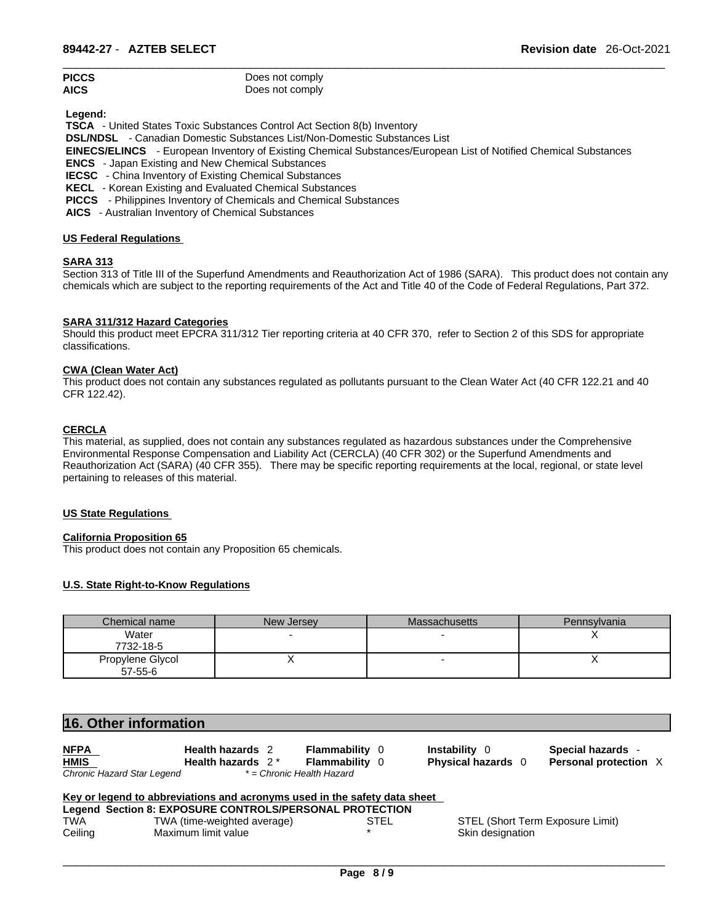| <b>PICCS</b> | Does not comply |
|--------------|-----------------|
| <b>AICS</b>  | Does not comply |

 **Legend:** 

 **TSCA** - United States Toxic Substances Control Act Section 8(b) Inventory

 **DSL/NDSL** - Canadian Domestic Substances List/Non-Domestic Substances List

- **EINECS/ELINCS**  European Inventory of Existing Chemical Substances/European List of Notified Chemical Substances
- **ENCS**  Japan Existing and New Chemical Substances

 **IECSC** - China Inventory of Existing Chemical Substances

 **KECL** - Korean Existing and Evaluated Chemical Substances

 **PICCS** - Philippines Inventory of Chemicals and Chemical Substances

 **AICS** - Australian Inventory of Chemical Substances

## **US Federal Regulations**

## **SARA 313**

Section 313 of Title III of the Superfund Amendments and Reauthorization Act of 1986 (SARA). This product does not contain any chemicals which are subject to the reporting requirements of the Act and Title 40 of the Code of Federal Regulations, Part 372.

## **SARA 311/312 Hazard Categories**

Should this product meet EPCRA 311/312 Tier reporting criteria at 40 CFR 370, refer to Section 2 of this SDS for appropriate classifications.

## **CWA (Clean WaterAct)**

This product does not contain any substances regulated as pollutants pursuant to the Clean Water Act (40 CFR 122.21 and 40 CFR 122.42).

## **CERCLA**

This material, as supplied, does not contain any substances regulated as hazardous substances under the Comprehensive Environmental Response Compensation and Liability Act (CERCLA) (40 CFR 302) or the Superfund Amendments and Reauthorization Act (SARA) (40 CFR 355). There may be specific reporting requirements at the local, regional, or state level pertaining to releases of this material.

## **US State Regulations**

## **California Proposition 65**

This product does not contain any Proposition 65 chemicals.

## **U.S. State Right-to-Know Regulations**

| Chemical name    | New Jersey | <b>Massachusetts</b> | Pennsylvania |
|------------------|------------|----------------------|--------------|
| Water            |            |                      |              |
| 7732-18-5        |            |                      |              |
| Propylene Glycol |            |                      |              |
| $57-55-6$        |            |                      |              |

| 16. Other information      |                                                                           |                       |                      |                                  |
|----------------------------|---------------------------------------------------------------------------|-----------------------|----------------------|----------------------------------|
| <b>NFPA</b>                | <b>Health hazards</b> 2                                                   | <b>Flammability</b> 0 | <b>Instability</b> 0 | Special hazards -                |
| <b>HMIS</b>                | Health hazards $2^*$                                                      | <b>Flammability</b> 0 | Physical hazards 0   | Personal protection X            |
| Chronic Hazard Star Legend | * = Chronic Health Hazard                                                 |                       |                      |                                  |
|                            | Key or legend to abbreviations and acronyms used in the safety data sheet |                       |                      |                                  |
|                            | Legend Section 8: EXPOSURE CONTROLS/PERSONAL PROTECTION                   |                       |                      |                                  |
| <b>TWA</b>                 | TWA (time-weighted average)                                               | <b>STEL</b>           |                      | STEL (Short Term Exposure Limit) |
|                            |                                                                           |                       | Skin designation     |                                  |